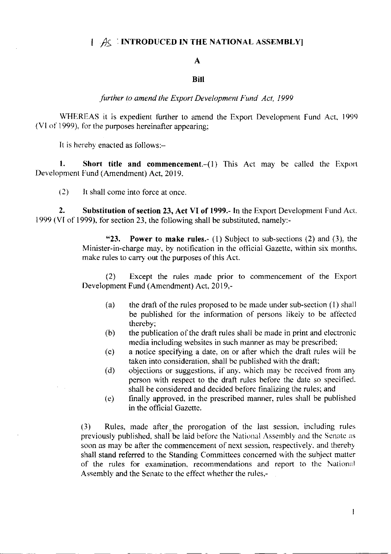## $\left[\begin{array}{c} A_{\mathsf{S}}\end{array}$ : INTRODUCED IN THE NATIONAL ASSEMBLY]

## $\mathbf{A}$

## **Bill**

further to amend the Export Development Fund Act, 1999

WHEREAS it is expedient further to amend the Export Development Fund Act, 1999 (VI of 1999), for the purposes hereinafter appearing;

It is hereby enacted as follows:-

1. Short title and commencement.-(1) This Act may be called the Export Development Fund (Amendment) Act, 2019.

 $(2)$ It shall come into force at once.

 $2.$ Substitution of section 23, Act VI of 1999.- In the Export Development Fund Act, 1999 (VI of 1999), for section 23, the following shall be substituted, namely:-

> $"23."$ **Power to make rules.** (1) Subject to sub-sections (2) and (3), the Minister-in-charge may, by notification in the official Gazette, within six months. make rules to carry out the purposes of this Act.

> Except the rules made prior to commencement of the Export  $(2)$ Development Fund (Amendment) Act, 2019,-

- $(a)$ the draft of the rules proposed to be made under sub-section (1) shall be published for the information of persons likely to be affected thereby;
- the publication of the draft rules shall be made in print and electronic  $(b)$ media including websites in such manner as may be prescribed;
- a notice specifying a date, on or after which the draft rules will be  $(c)$ taken into consideration, shall be published with the draft;
- objections or suggestions, if any, which may be received from any  $(d)$ person with respect to the draft rules before the date so specified. shall be considered and decided before finalizing the rules; and
- finally approved, in the prescribed manner, rules shall be published  $(e)$ in the official Gazette.

Rules, made after the prorogation of the last session, including rules  $(3)$ previously published, shall be laid before the National Assembly and the Senate as soon as may be after the commencement of next session, respectively, and thereby shall stand referred to the Standing Committees concerned with the subject matter of the rules for examination, recommendations and report to the National Assembly and the Senate to the effect whether the rules,-

 $\mathbf{I}$